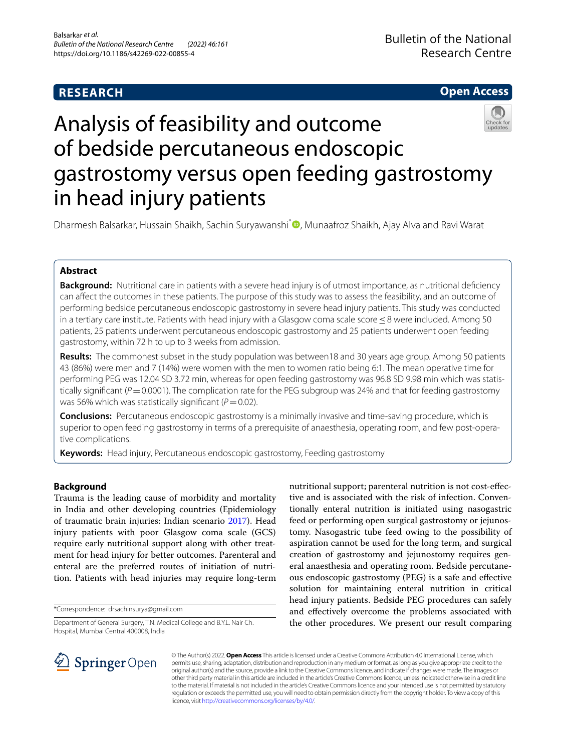## **RESEARCH**

## **Open Access**

# Analysis of feasibility and outcome of bedside percutaneous endoscopic gastrostomy versus open feeding gastrostomy in head injury patients

Dharmesh Balsarkar, Hussain Shaikh, Sachin Suryawanshi<sup>[\\*](http://orcid.org/0000-0002-4151-8741)</sup> , Munaafroz Shaikh, Ajay Alva and Ravi Warat

## **Abstract**

**Background:** Nutritional care in patients with a severe head injury is of utmost importance, as nutritional deficiency can afect the outcomes in these patients. The purpose of this study was to assess the feasibility, and an outcome of performing bedside percutaneous endoscopic gastrostomy in severe head injury patients. This study was conducted in a tertiary care institute. Patients with head injury with a Glasgow coma scale score ≤8 were included. Among 50 patients, 25 patients underwent percutaneous endoscopic gastrostomy and 25 patients underwent open feeding gastrostomy, within 72 h to up to 3 weeks from admission.

**Results:** The commonest subset in the study population was between18 and 30 years age group. Among 50 patients 43 (86%) were men and 7 (14%) were women with the men to women ratio being 6:1. The mean operative time for performing PEG was 12.04 SD 3.72 min, whereas for open feeding gastrostomy was 96.8 SD 9.98 min which was statistically significant ( $P=0.0001$ ). The complication rate for the PEG subgroup was 24% and that for feeding gastrostomy was 56% which was statistically significant ( $P=0.02$ ).

**Conclusions:** Percutaneous endoscopic gastrostomy is a minimally invasive and time-saving procedure, which is superior to open feeding gastrostomy in terms of a prerequisite of anaesthesia, operating room, and few post-operative complications.

**Keywords:** Head injury, Percutaneous endoscopic gastrostomy, Feeding gastrostomy

## **Background**

Trauma is the leading cause of morbidity and mortality in India and other developing countries (Epidemiology of traumatic brain injuries: Indian scenario [2017\)](#page-3-0). Head injury patients with poor Glasgow coma scale (GCS) require early nutritional support along with other treatment for head injury for better outcomes. Parenteral and enteral are the preferred routes of initiation of nutrition. Patients with head injuries may require long-term

\*Correspondence: drsachinsurya@gmail.com

Department of General Surgery, T.N. Medical College and B.Y.L. Nair Ch. Hospital, Mumbai Central 400008, India

nutritional support; parenteral nutrition is not cost-efective and is associated with the risk of infection. Conventionally enteral nutrition is initiated using nasogastric feed or performing open surgical gastrostomy or jejunostomy. Nasogastric tube feed owing to the possibility of aspiration cannot be used for the long term, and surgical creation of gastrostomy and jejunostomy requires general anaesthesia and operating room. Bedside percutaneous endoscopic gastrostomy (PEG) is a safe and efective solution for maintaining enteral nutrition in critical head injury patients. Bedside PEG procedures can safely and efectively overcome the problems associated with the other procedures. We present our result comparing



© The Author(s) 2022. **Open Access** This article is licensed under a Creative Commons Attribution 4.0 International License, which permits use, sharing, adaptation, distribution and reproduction in any medium or format, as long as you give appropriate credit to the original author(s) and the source, provide a link to the Creative Commons licence, and indicate if changes were made. The images or other third party material in this article are included in the article's Creative Commons licence, unless indicated otherwise in a credit line to the material. If material is not included in the article's Creative Commons licence and your intended use is not permitted by statutory regulation or exceeds the permitted use, you will need to obtain permission directly from the copyright holder. To view a copy of this licence, visit [http://creativecommons.org/licenses/by/4.0/.](http://creativecommons.org/licenses/by/4.0/)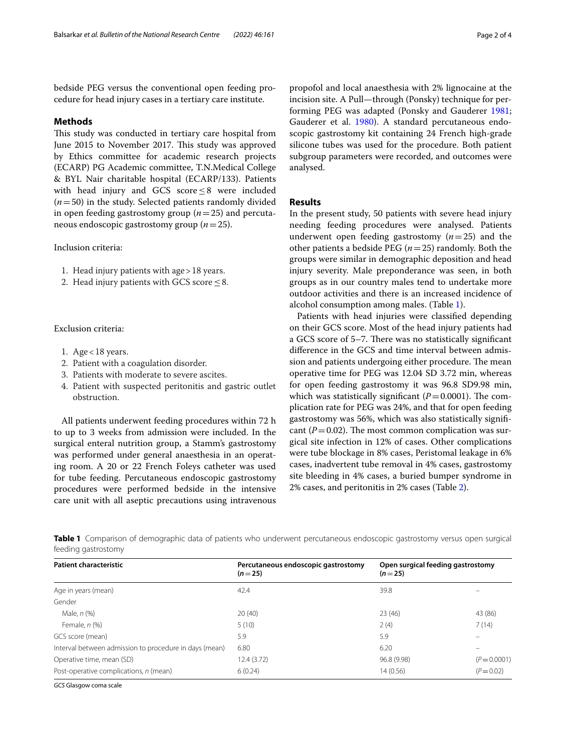bedside PEG versus the conventional open feeding procedure for head injury cases in a tertiary care institute.

#### **Methods**

This study was conducted in tertiary care hospital from June 2015 to November 2017. This study was approved by Ethics committee for academic research projects (ECARP) PG Academic committee, T.N.Medical College & BYL Nair charitable hospital (ECARP/133). Patients with head injury and GCS score ≤8 were included (*n*=50) in the study. Selected patients randomly divided in open feeding gastrostomy group (*n*=25) and percutaneous endoscopic gastrostomy group (*n*=25).

Inclusion criteria:

- 1. Head injury patients with age>18 years.
- 2. Head injury patients with GCS score  $\leq$  8.

#### Exclusion criteria:

- 1. Age  $<$  18 years.
- 2. Patient with a coagulation disorder.
- 3. Patients with moderate to severe ascites.
- 4. Patient with suspected peritonitis and gastric outlet obstruction.

All patients underwent feeding procedures within 72 h to up to 3 weeks from admission were included. In the surgical enteral nutrition group, a Stamm's gastrostomy was performed under general anaesthesia in an operating room. A 20 or 22 French Foleys catheter was used for tube feeding. Percutaneous endoscopic gastrostomy procedures were performed bedside in the intensive care unit with all aseptic precautions using intravenous propofol and local anaesthesia with 2% lignocaine at the incision site. A Pull—through (Ponsky) technique for performing PEG was adapted (Ponsky and Gauderer [1981](#page-3-1); Gauderer et al. [1980](#page-3-2)). A standard percutaneous endoscopic gastrostomy kit containing 24 French high-grade silicone tubes was used for the procedure. Both patient subgroup parameters were recorded, and outcomes were analysed.

#### **Results**

In the present study, 50 patients with severe head injury needing feeding procedures were analysed. Patients underwent open feeding gastrostomy (*n*=25) and the other patients a bedside PEG (*n*=25) randomly. Both the groups were similar in demographic deposition and head injury severity. Male preponderance was seen, in both groups as in our country males tend to undertake more outdoor activities and there is an increased incidence of alcohol consumption among males. (Table [1](#page-1-0)).

Patients with head injuries were classifed depending on their GCS score. Most of the head injury patients had a GCS score of 5–7. There was no statistically significant diference in the GCS and time interval between admission and patients undergoing either procedure. The mean operative time for PEG was 12.04 SD 3.72 min, whereas for open feeding gastrostomy it was 96.8 SD9.98 min, which was statistically significant  $(P=0.0001)$ . The complication rate for PEG was 24%, and that for open feeding gastrostomy was 56%, which was also statistically signifcant ( $P=0.02$ ). The most common complication was surgical site infection in 12% of cases. Other complications were tube blockage in 8% cases, Peristomal leakage in 6% cases, inadvertent tube removal in 4% cases, gastrostomy site bleeding in 4% cases, a buried bumper syndrome in 2% cases, and peritonitis in 2% cases (Table [2\)](#page-2-0).

<span id="page-1-0"></span>**Table 1** Comparison of demographic data of patients who underwent percutaneous endoscopic gastrostomy versus open surgical feeding gastrostomy

| <b>Patient characteristic</b>                          | Percutaneous endoscopic gastrostomy<br>$(n=25)$ | Open surgical feeding gastrostomy<br>$(n=25)$ |              |
|--------------------------------------------------------|-------------------------------------------------|-----------------------------------------------|--------------|
| Age in years (mean)                                    | 42.4                                            | 39.8                                          |              |
| Gender                                                 |                                                 |                                               |              |
| Male, n (%)                                            | 20(40)                                          | 23(46)                                        | 43 (86)      |
| Female, $n$ $(\%)$                                     | 5(10)                                           | 2(4)                                          | 7(14)        |
| GCS score (mean)                                       | 5.9                                             | 5.9                                           | -            |
| Interval between admission to procedure in days (mean) | 6.80                                            | 6.20                                          | -            |
| Operative time, mean (SD)                              | 12.4(3.72)                                      | 96.8 (9.98)                                   | $(P=0.0001)$ |
| Post-operative complications, n (mean)                 | 6(0.24)                                         | 14(0.56)                                      | $(P = 0.02)$ |

*GCS* Glasgow coma scale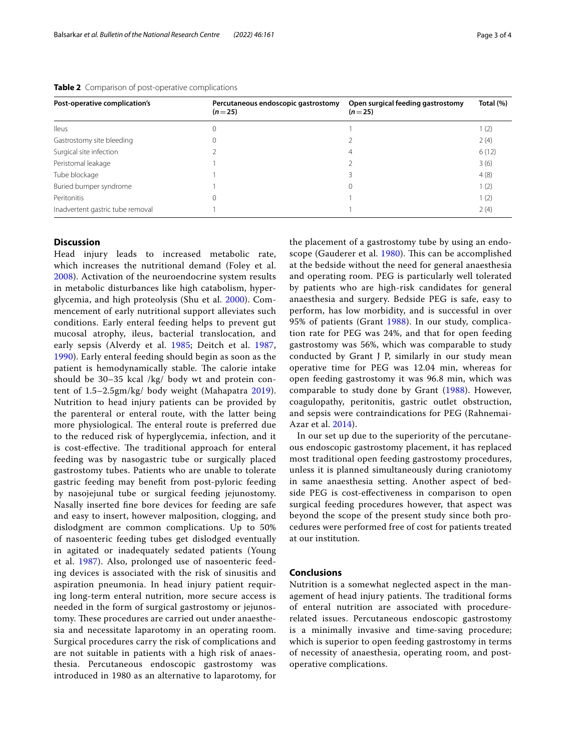| Post-operative complication's    | Percutaneous endoscopic gastrostomy<br>$(n=25)$ | Open surgical feeding gastrostomy<br>$(n=25)$ | Total (%) |
|----------------------------------|-------------------------------------------------|-----------------------------------------------|-----------|
| <b>Ileus</b>                     | 0                                               |                                               | 1(2)      |
| Gastrostomy site bleeding        | 0                                               |                                               | 2(4)      |
| Surgical site infection          |                                                 | 4                                             | 6(12)     |
| Peristomal leakage               |                                                 |                                               | 3(6)      |
| Tube blockage                    |                                                 |                                               | 4(8)      |
| Buried bumper syndrome           |                                                 | 0                                             | 1(2)      |
| Peritonitis                      | 0                                               |                                               | 1(2)      |
| Inadvertent gastric tube removal |                                                 |                                               | 2(4)      |

<span id="page-2-0"></span>**Table 2** Comparison of post-operative complications

#### **Discussion**

Head injury leads to increased metabolic rate, which increases the nutritional demand (Foley et al. [2008\)](#page-3-3). Activation of the neuroendocrine system results in metabolic disturbances like high catabolism, hyperglycemia, and high proteolysis (Shu et al. [2000](#page-3-4)). Commencement of early nutritional support alleviates such conditions. Early enteral feeding helps to prevent gut mucosal atrophy, ileus, bacterial translocation, and early sepsis (Alverdy et al. [1985](#page-3-5); Deitch et al. [1987](#page-3-6), [1990\)](#page-3-7). Early enteral feeding should begin as soon as the patient is hemodynamically stable. The calorie intake should be 30–35 kcal /kg/ body wt and protein content of 1.5–2.5gm/kg/ body weight (Mahapatra [2019](#page-3-8)). Nutrition to head injury patients can be provided by the parenteral or enteral route, with the latter being more physiological. The enteral route is preferred due to the reduced risk of hyperglycemia, infection, and it is cost-effective. The traditional approach for enteral feeding was by nasogastric tube or surgically placed gastrostomy tubes. Patients who are unable to tolerate gastric feeding may beneft from post-pyloric feeding by nasojejunal tube or surgical feeding jejunostomy. Nasally inserted fne bore devices for feeding are safe and easy to insert, however malposition, clogging, and dislodgment are common complications. Up to 50% of nasoenteric feeding tubes get dislodged eventually in agitated or inadequately sedated patients (Young et al. [1987\)](#page-3-9). Also, prolonged use of nasoenteric feeding devices is associated with the risk of sinusitis and aspiration pneumonia. In head injury patient requiring long-term enteral nutrition, more secure access is needed in the form of surgical gastrostomy or jejunostomy. These procedures are carried out under anaesthesia and necessitate laparotomy in an operating room. Surgical procedures carry the risk of complications and are not suitable in patients with a high risk of anaesthesia. Percutaneous endoscopic gastrostomy was introduced in 1980 as an alternative to laparotomy, for

the placement of a gastrostomy tube by using an endo-scope (Gauderer et al. [1980](#page-3-2)). This can be accomplished at the bedside without the need for general anaesthesia and operating room. PEG is particularly well tolerated by patients who are high-risk candidates for general anaesthesia and surgery. Bedside PEG is safe, easy to perform, has low morbidity, and is successful in over 95% of patients (Grant [1988\)](#page-3-10). In our study, complication rate for PEG was 24%, and that for open feeding gastrostomy was 56%, which was comparable to study conducted by Grant J P, similarly in our study mean operative time for PEG was 12.04 min, whereas for open feeding gastrostomy it was 96.8 min, which was comparable to study done by Grant ([1988](#page-3-10)). However, coagulopathy, peritonitis, gastric outlet obstruction, and sepsis were contraindications for PEG (Rahnemai-Azar et al. [2014](#page-3-11)).

In our set up due to the superiority of the percutaneous endoscopic gastrostomy placement, it has replaced most traditional open feeding gastrostomy procedures, unless it is planned simultaneously during craniotomy in same anaesthesia setting. Another aspect of bedside PEG is cost-efectiveness in comparison to open surgical feeding procedures however, that aspect was beyond the scope of the present study since both procedures were performed free of cost for patients treated at our institution.

#### **Conclusions**

Nutrition is a somewhat neglected aspect in the management of head injury patients. The traditional forms of enteral nutrition are associated with procedurerelated issues. Percutaneous endoscopic gastrostomy is a minimally invasive and time-saving procedure; which is superior to open feeding gastrostomy in terms of necessity of anaesthesia, operating room, and postoperative complications.